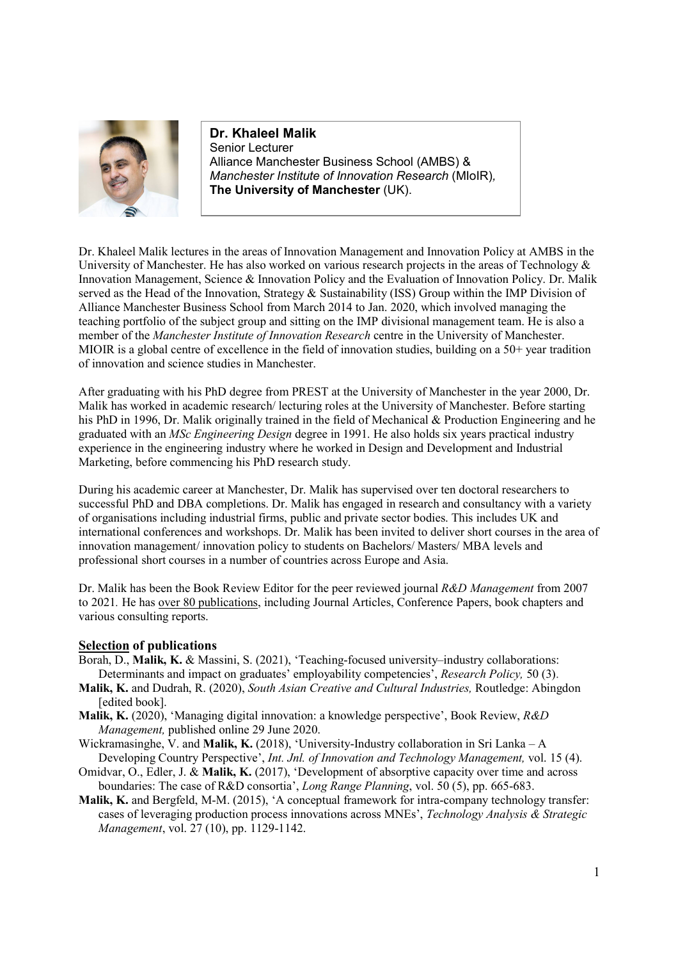

**Dr. Khaleel Malik** Senior Lecturer Alliance Manchester Business School (AMBS) & *Manchester Institute of Innovation Research* (MIoIR)*,*  **The University of Manchester** (UK).

Dr. Khaleel Malik lectures in the areas of Innovation Management and Innovation Policy at AMBS in the University of Manchester. He has also worked on various research projects in the areas of Technology & Innovation Management, Science & Innovation Policy and the Evaluation of Innovation Policy. Dr. Malik served as the Head of the Innovation, Strategy & Sustainability (ISS) Group within the IMP Division of Alliance Manchester Business School from March 2014 to Jan. 2020, which involved managing the teaching portfolio of the subject group and sitting on the IMP divisional management team. He is also a member of the *Manchester Institute of Innovation Research* centre in the University of Manchester. MIOIR is a global centre of excellence in the field of innovation studies, building on a 50+ year tradition of innovation and science studies in Manchester.

After graduating with his PhD degree from PREST at the University of Manchester in the year 2000, Dr. Malik has worked in academic research/ lecturing roles at the University of Manchester. Before starting his PhD in 1996, Dr. Malik originally trained in the field of Mechanical & Production Engineering and he graduated with an *MSc Engineering Design* degree in 1991. He also holds six years practical industry experience in the engineering industry where he worked in Design and Development and Industrial Marketing, before commencing his PhD research study.

During his academic career at Manchester, Dr. Malik has supervised over ten doctoral researchers to successful PhD and DBA completions. Dr. Malik has engaged in research and consultancy with a variety of organisations including industrial firms, public and private sector bodies. This includes UK and international conferences and workshops. Dr. Malik has been invited to deliver short courses in the area of innovation management/ innovation policy to students on Bachelors/ Masters/ MBA levels and professional short courses in a number of countries across Europe and Asia.

Dr. Malik has been the Book Review Editor for the peer reviewed journal *R&D Management* from 2007 to 2021*.* He has over 80 publications, including Journal Articles, Conference Papers, book chapters and various consulting reports.

## **Selection of publications**

- Borah, D., **Malik, K.** & Massini, S. (2021), 'Teaching-focused university–industry collaborations: Determinants and impact on graduates' employability competencies', *Research Policy,* 50 (3).
- **Malik, K.** and Dudrah, R. (2020), *South Asian Creative and Cultural Industries,* Routledge: Abingdon [edited book].
- **Malik, K.** (2020), 'Managing digital innovation: a knowledge perspective', Book Review, *R&D Management,* published online 29 June 2020.
- Wickramasinghe, V. and **Malik, K.** (2018), 'University-Industry collaboration in Sri Lanka A Developing Country Perspective', *Int. Jnl. of Innovation and Technology Management,* vol. 15 (4).
- Omidvar, O., Edler, J. & **Malik, K.** (2017), 'Development of absorptive capacity over time and across boundaries: The case of R&D consortia', *Long Range Planning*, vol. 50 (5), pp. 665-683.
- **Malik, K.** and Bergfeld, M-M. (2015), 'A conceptual framework for intra-company technology transfer: cases of leveraging production process innovations across MNEs', *Technology Analysis & Strategic Management*, vol. 27 (10), pp. 1129-1142.